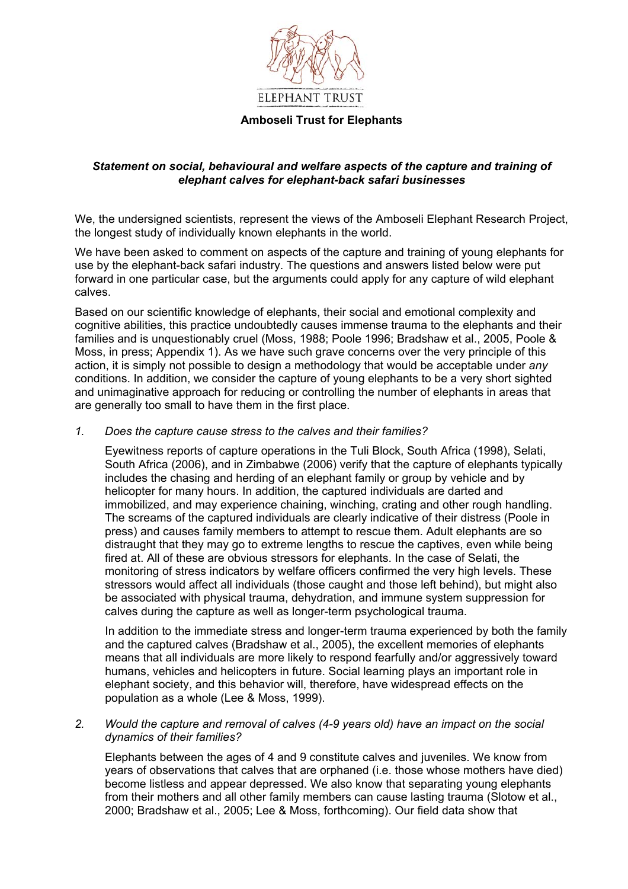

**Amboseli Trust for Elephants** 

## *Statement on social, behavioural and welfare aspects of the capture and training of elephant calves for elephant-back safari businesses*

We, the undersigned scientists, represent the views of the Amboseli Elephant Research Project, the longest study of individually known elephants in the world.

We have been asked to comment on aspects of the capture and training of young elephants for use by the elephant-back safari industry. The questions and answers listed below were put forward in one particular case, but the arguments could apply for any capture of wild elephant calves.

Based on our scientific knowledge of elephants, their social and emotional complexity and cognitive abilities, this practice undoubtedly causes immense trauma to the elephants and their families and is unquestionably cruel (Moss, 1988; Poole 1996; Bradshaw et al., 2005, Poole & Moss, in press; Appendix 1). As we have such grave concerns over the very principle of this action, it is simply not possible to design a methodology that would be acceptable under *any* conditions. In addition, we consider the capture of young elephants to be a very short sighted and unimaginative approach for reducing or controlling the number of elephants in areas that are generally too small to have them in the first place.

## *1. Does the capture cause stress to the calves and their families?*

Eyewitness reports of capture operations in the Tuli Block, South Africa (1998), Selati, South Africa (2006), and in Zimbabwe (2006) verify that the capture of elephants typically includes the chasing and herding of an elephant family or group by vehicle and by helicopter for many hours. In addition, the captured individuals are darted and immobilized, and may experience chaining, winching, crating and other rough handling. The screams of the captured individuals are clearly indicative of their distress (Poole in press) and causes family members to attempt to rescue them. Adult elephants are so distraught that they may go to extreme lengths to rescue the captives, even while being fired at. All of these are obvious stressors for elephants. In the case of Selati, the monitoring of stress indicators by welfare officers confirmed the very high levels. These stressors would affect all individuals (those caught and those left behind), but might also be associated with physical trauma, dehydration, and immune system suppression for calves during the capture as well as longer-term psychological trauma.

In addition to the immediate stress and longer-term trauma experienced by both the family and the captured calves (Bradshaw et al., 2005), the excellent memories of elephants means that all individuals are more likely to respond fearfully and/or aggressively toward humans, vehicles and helicopters in future. Social learning plays an important role in elephant society, and this behavior will, therefore, have widespread effects on the population as a whole (Lee & Moss, 1999).

## *2. Would the capture and removal of calves (4-9 years old) have an impact on the social dynamics of their families?*

Elephants between the ages of 4 and 9 constitute calves and juveniles. We know from years of observations that calves that are orphaned (i.e. those whose mothers have died) become listless and appear depressed. We also know that separating young elephants from their mothers and all other family members can cause lasting trauma (Slotow et al., 2000; Bradshaw et al., 2005; Lee & Moss, forthcoming). Our field data show that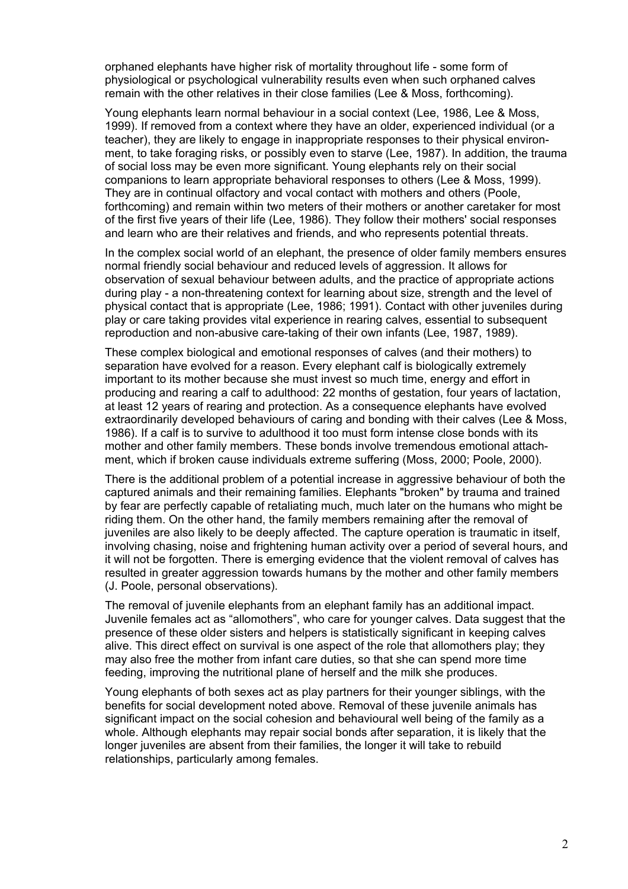orphaned elephants have higher risk of mortality throughout life - some form of physiological or psychological vulnerability results even when such orphaned calves remain with the other relatives in their close families (Lee & Moss, forthcoming).

Young elephants learn normal behaviour in a social context (Lee, 1986, Lee & Moss, 1999). If removed from a context where they have an older, experienced individual (or a teacher), they are likely to engage in inappropriate responses to their physical environment, to take foraging risks, or possibly even to starve (Lee, 1987). In addition, the trauma of social loss may be even more significant. Young elephants rely on their social companions to learn appropriate behavioral responses to others (Lee & Moss, 1999). They are in continual olfactory and vocal contact with mothers and others (Poole, forthcoming) and remain within two meters of their mothers or another caretaker for most of the first five years of their life (Lee, 1986). They follow their mothers' social responses and learn who are their relatives and friends, and who represents potential threats.

In the complex social world of an elephant, the presence of older family members ensures normal friendly social behaviour and reduced levels of aggression. It allows for observation of sexual behaviour between adults, and the practice of appropriate actions during play - a non-threatening context for learning about size, strength and the level of physical contact that is appropriate (Lee, 1986; 1991). Contact with other juveniles during play or care taking provides vital experience in rearing calves, essential to subsequent reproduction and non-abusive care-taking of their own infants (Lee, 1987, 1989).

These complex biological and emotional responses of calves (and their mothers) to separation have evolved for a reason. Every elephant calf is biologically extremely important to its mother because she must invest so much time, energy and effort in producing and rearing a calf to adulthood: 22 months of gestation, four years of lactation, at least 12 years of rearing and protection. As a consequence elephants have evolved extraordinarily developed behaviours of caring and bonding with their calves (Lee & Moss, 1986). If a calf is to survive to adulthood it too must form intense close bonds with its mother and other family members. These bonds involve tremendous emotional attachment, which if broken cause individuals extreme suffering (Moss, 2000; Poole, 2000).

There is the additional problem of a potential increase in aggressive behaviour of both the captured animals and their remaining families. Elephants "broken" by trauma and trained by fear are perfectly capable of retaliating much, much later on the humans who might be riding them. On the other hand, the family members remaining after the removal of juveniles are also likely to be deeply affected. The capture operation is traumatic in itself, involving chasing, noise and frightening human activity over a period of several hours, and it will not be forgotten. There is emerging evidence that the violent removal of calves has resulted in greater aggression towards humans by the mother and other family members (J. Poole, personal observations).

The removal of juvenile elephants from an elephant family has an additional impact. Juvenile females act as "allomothers", who care for younger calves. Data suggest that the presence of these older sisters and helpers is statistically significant in keeping calves alive. This direct effect on survival is one aspect of the role that allomothers play; they may also free the mother from infant care duties, so that she can spend more time feeding, improving the nutritional plane of herself and the milk she produces.

Young elephants of both sexes act as play partners for their younger siblings, with the benefits for social development noted above. Removal of these juvenile animals has significant impact on the social cohesion and behavioural well being of the family as a whole. Although elephants may repair social bonds after separation, it is likely that the longer juveniles are absent from their families, the longer it will take to rebuild relationships, particularly among females.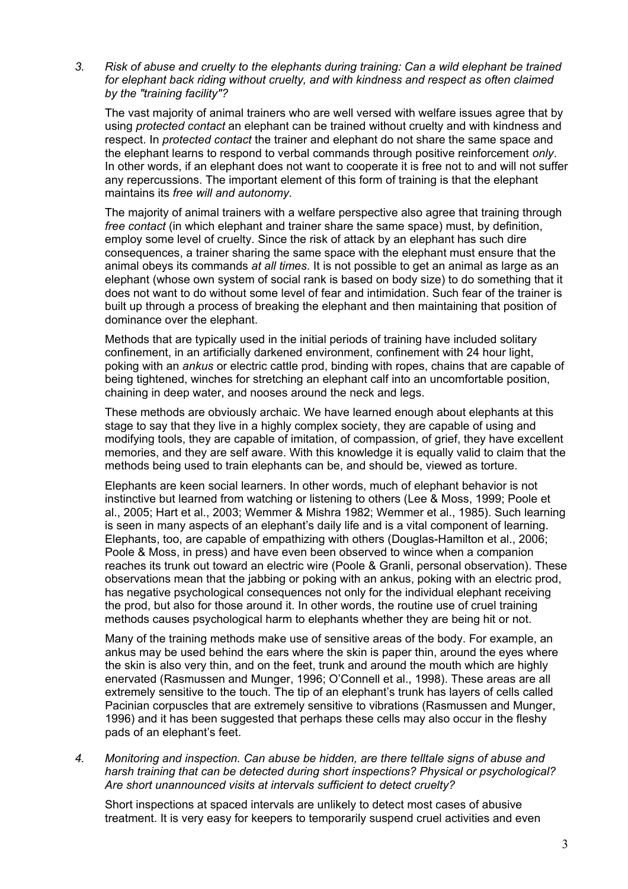*3. Risk of abuse and cruelty to the elephants during training: Can a wild elephant be trained for elephant back riding without cruelty, and with kindness and respect as often claimed by the "training facility"?* 

The vast majority of animal trainers who are well versed with welfare issues agree that by using *protected contact* an elephant can be trained without cruelty and with kindness and respect. In *protected contact* the trainer and elephant do not share the same space and the elephant learns to respond to verbal commands through positive reinforcement *only*. In other words, if an elephant does not want to cooperate it is free not to and will not suffer any repercussions. The important element of this form of training is that the elephant maintains its *free will and autonomy*.

The majority of animal trainers with a welfare perspective also agree that training through *free contact* (in which elephant and trainer share the same space) must, by definition, employ some level of cruelty. Since the risk of attack by an elephant has such dire consequences, a trainer sharing the same space with the elephant must ensure that the animal obeys its commands *at all times*. It is not possible to get an animal as large as an elephant (whose own system of social rank is based on body size) to do something that it does not want to do without some level of fear and intimidation. Such fear of the trainer is built up through a process of breaking the elephant and then maintaining that position of dominance over the elephant.

Methods that are typically used in the initial periods of training have included solitary confinement, in an artificially darkened environment, confinement with 24 hour light, poking with an *ankus* or electric cattle prod, binding with ropes, chains that are capable of being tightened, winches for stretching an elephant calf into an uncomfortable position, chaining in deep water, and nooses around the neck and legs.

These methods are obviously archaic. We have learned enough about elephants at this stage to say that they live in a highly complex society, they are capable of using and modifying tools, they are capable of imitation, of compassion, of grief, they have excellent memories, and they are self aware. With this knowledge it is equally valid to claim that the methods being used to train elephants can be, and should be, viewed as torture.

Elephants are keen social learners. In other words, much of elephant behavior is not instinctive but learned from watching or listening to others (Lee & Moss, 1999; Poole et al., 2005; Hart et al., 2003; Wemmer & Mishra 1982; Wemmer et al., 1985). Such learning is seen in many aspects of an elephant's daily life and is a vital component of learning. Elephants, too, are capable of empathizing with others (Douglas-Hamilton et al., 2006; Poole & Moss, in press) and have even been observed to wince when a companion reaches its trunk out toward an electric wire (Poole & Granli, personal observation). These observations mean that the jabbing or poking with an ankus, poking with an electric prod, has negative psychological consequences not only for the individual elephant receiving the prod, but also for those around it. In other words, the routine use of cruel training methods causes psychological harm to elephants whether they are being hit or not.

Many of the training methods make use of sensitive areas of the body. For example, an ankus may be used behind the ears where the skin is paper thin, around the eyes where the skin is also very thin, and on the feet, trunk and around the mouth which are highly enervated (Rasmussen and Munger, 1996; O'Connell et al., 1998). These areas are all extremely sensitive to the touch. The tip of an elephant's trunk has layers of cells called Pacinian corpuscles that are extremely sensitive to vibrations (Rasmussen and Munger, 1996) and it has been suggested that perhaps these cells may also occur in the fleshy pads of an elephant's feet.

*4. Monitoring and inspection. Can abuse be hidden, are there telltale signs of abuse and harsh training that can be detected during short inspections? Physical or psychological? Are short unannounced visits at intervals sufficient to detect cruelty?* 

Short inspections at spaced intervals are unlikely to detect most cases of abusive treatment. It is very easy for keepers to temporarily suspend cruel activities and even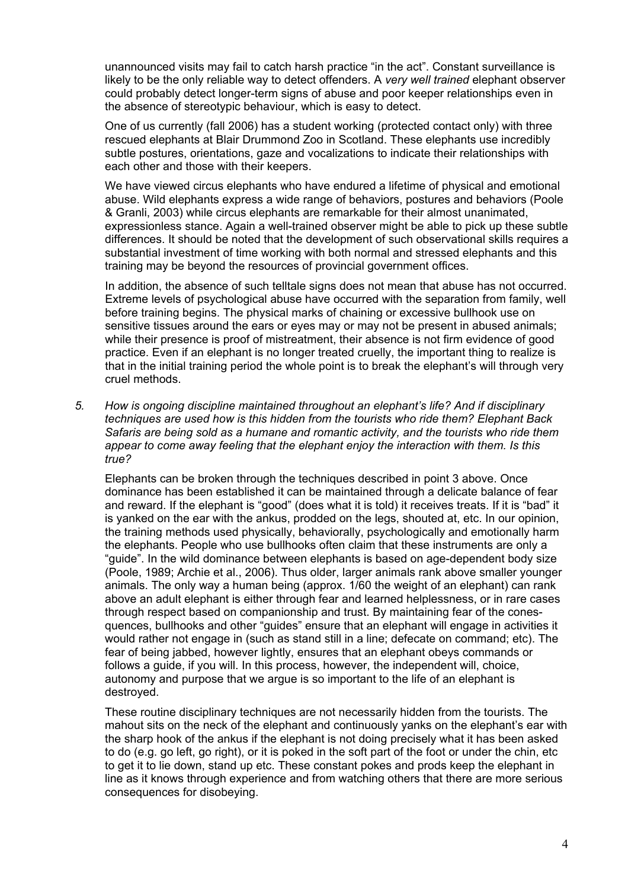unannounced visits may fail to catch harsh practice "in the act". Constant surveillance is likely to be the only reliable way to detect offenders. A *very well trained* elephant observer could probably detect longer-term signs of abuse and poor keeper relationships even in the absence of stereotypic behaviour, which is easy to detect.

One of us currently (fall 2006) has a student working (protected contact only) with three rescued elephants at Blair Drummond Zoo in Scotland. These elephants use incredibly subtle postures, orientations, gaze and vocalizations to indicate their relationships with each other and those with their keepers.

We have viewed circus elephants who have endured a lifetime of physical and emotional abuse. Wild elephants express a wide range of behaviors, postures and behaviors (Poole & Granli, 2003) while circus elephants are remarkable for their almost unanimated, expressionless stance. Again a well-trained observer might be able to pick up these subtle differences. It should be noted that the development of such observational skills requires a substantial investment of time working with both normal and stressed elephants and this training may be beyond the resources of provincial government offices.

In addition, the absence of such telltale signs does not mean that abuse has not occurred. Extreme levels of psychological abuse have occurred with the separation from family, well before training begins. The physical marks of chaining or excessive bullhook use on sensitive tissues around the ears or eyes may or may not be present in abused animals; while their presence is proof of mistreatment, their absence is not firm evidence of good practice. Even if an elephant is no longer treated cruelly, the important thing to realize is that in the initial training period the whole point is to break the elephant's will through very cruel methods.

*5. How is ongoing discipline maintained throughout an elephant's life? And if disciplinary techniques are used how is this hidden from the tourists who ride them? Elephant Back Safaris are being sold as a humane and romantic activity, and the tourists who ride them appear to come away feeling that the elephant enjoy the interaction with them. Is this true?* 

Elephants can be broken through the techniques described in point 3 above. Once dominance has been established it can be maintained through a delicate balance of fear and reward. If the elephant is "good" (does what it is told) it receives treats. If it is "bad" it is yanked on the ear with the ankus, prodded on the legs, shouted at, etc. In our opinion, the training methods used physically, behaviorally, psychologically and emotionally harm the elephants. People who use bullhooks often claim that these instruments are only a "guide". In the wild dominance between elephants is based on age-dependent body size (Poole, 1989; Archie et al., 2006). Thus older, larger animals rank above smaller younger animals. The only way a human being (approx. 1/60 the weight of an elephant) can rank above an adult elephant is either through fear and learned helplessness, or in rare cases through respect based on companionship and trust. By maintaining fear of the conesquences, bullhooks and other "guides" ensure that an elephant will engage in activities it would rather not engage in (such as stand still in a line; defecate on command; etc). The fear of being jabbed, however lightly, ensures that an elephant obeys commands or follows a guide, if you will. In this process, however, the independent will, choice, autonomy and purpose that we argue is so important to the life of an elephant is destroyed.

These routine disciplinary techniques are not necessarily hidden from the tourists. The mahout sits on the neck of the elephant and continuously yanks on the elephant's ear with the sharp hook of the ankus if the elephant is not doing precisely what it has been asked to do (e.g. go left, go right), or it is poked in the soft part of the foot or under the chin, etc to get it to lie down, stand up etc. These constant pokes and prods keep the elephant in line as it knows through experience and from watching others that there are more serious consequences for disobeying.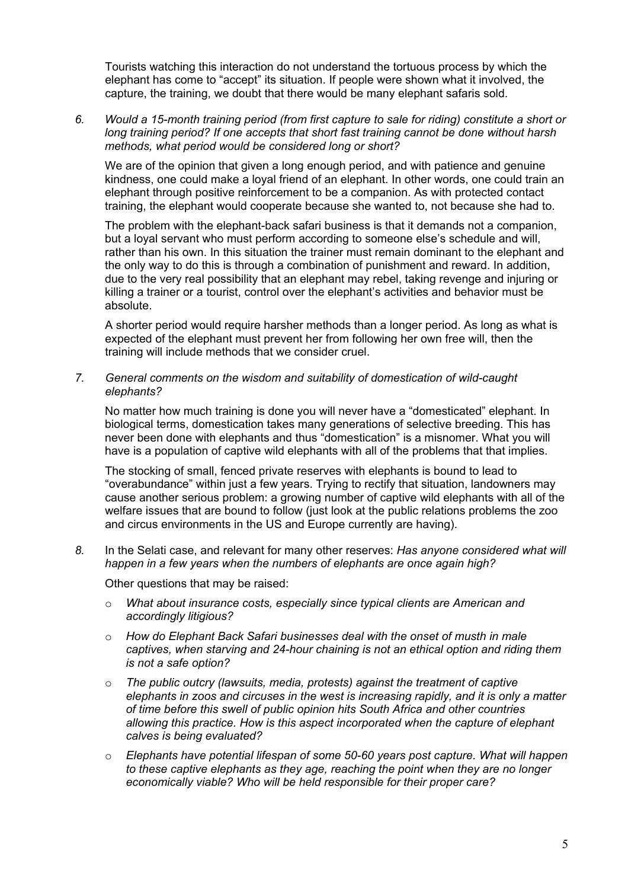Tourists watching this interaction do not understand the tortuous process by which the elephant has come to "accept" its situation. If people were shown what it involved, the capture, the training, we doubt that there would be many elephant safaris sold.

*6. Would a 15-month training period (from first capture to sale for riding) constitute a short or long training period? If one accepts that short fast training cannot be done without harsh methods, what period would be considered long or short?* 

We are of the opinion that given a long enough period, and with patience and genuine kindness, one could make a loyal friend of an elephant. In other words, one could train an elephant through positive reinforcement to be a companion. As with protected contact training, the elephant would cooperate because she wanted to, not because she had to.

The problem with the elephant-back safari business is that it demands not a companion, but a loyal servant who must perform according to someone else's schedule and will, rather than his own. In this situation the trainer must remain dominant to the elephant and the only way to do this is through a combination of punishment and reward. In addition, due to the very real possibility that an elephant may rebel, taking revenge and injuring or killing a trainer or a tourist, control over the elephant's activities and behavior must be absolute.

A shorter period would require harsher methods than a longer period. As long as what is expected of the elephant must prevent her from following her own free will, then the training will include methods that we consider cruel.

*7. General comments on the wisdom and suitability of domestication of wild-caught elephants?* 

No matter how much training is done you will never have a "domesticated" elephant. In biological terms, domestication takes many generations of selective breeding. This has never been done with elephants and thus "domestication" is a misnomer. What you will have is a population of captive wild elephants with all of the problems that that implies.

The stocking of small, fenced private reserves with elephants is bound to lead to "overabundance" within just a few years. Trying to rectify that situation, landowners may cause another serious problem: a growing number of captive wild elephants with all of the welfare issues that are bound to follow (just look at the public relations problems the zoo and circus environments in the US and Europe currently are having).

*8.* In the Selati case, and relevant for many other reserves: *Has anyone considered what will happen in a few years when the numbers of elephants are once again high?* 

Other questions that may be raised:

- o *What about insurance costs, especially since typical clients are American and accordingly litigious?*
- o *How do Elephant Back Safari businesses deal with the onset of musth in male captives, when starving and 24-hour chaining is not an ethical option and riding them is not a safe option?*
- o *The public outcry (lawsuits, media, protests) against the treatment of captive elephants in zoos and circuses in the west is increasing rapidly, and it is only a matter of time before this swell of public opinion hits South Africa and other countries allowing this practice. How is this aspect incorporated when the capture of elephant calves is being evaluated?*
- o *Elephants have potential lifespan of some 50-60 years post capture. What will happen to these captive elephants as they age, reaching the point when they are no longer economically viable? Who will be held responsible for their proper care?*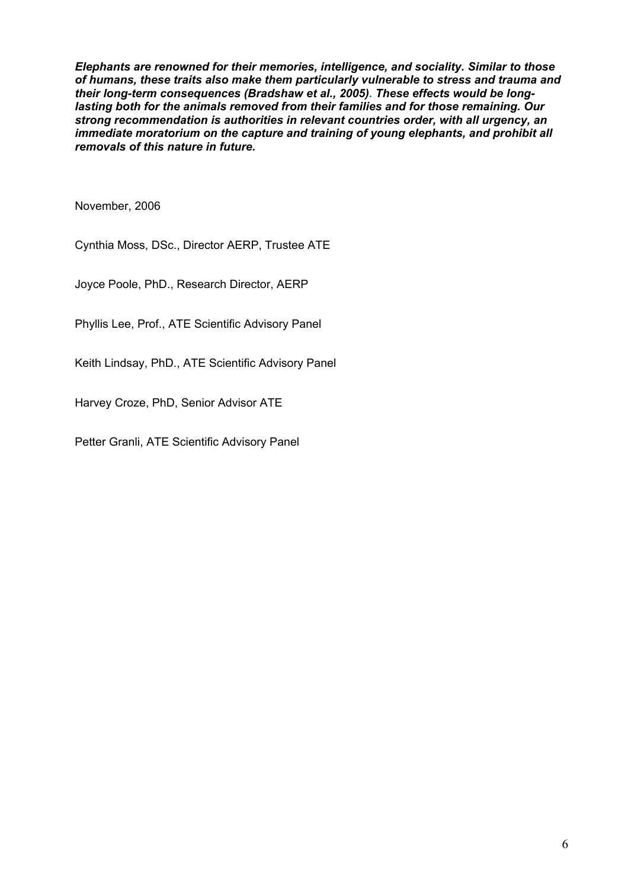*Elephants are renowned for their memories, intelligence, and sociality. Similar to those of humans, these traits also make them particularly vulnerable to stress and trauma and their long-term consequences (Bradshaw et al., 2005). These effects would be longlasting both for the animals removed from their families and for those remaining. Our strong recommendation is authorities in relevant countries order, with all urgency, an immediate moratorium on the capture and training of young elephants, and prohibit all removals of this nature in future.* 

November, 2006

Cynthia Moss, DSc., Director AERP, Trustee ATE

Joyce Poole, PhD., Research Director, AERP

Phyllis Lee, Prof., ATE Scientific Advisory Panel

Keith Lindsay, PhD., ATE Scientific Advisory Panel

Harvey Croze, PhD, Senior Advisor ATE

Petter Granli, ATE Scientific Advisory Panel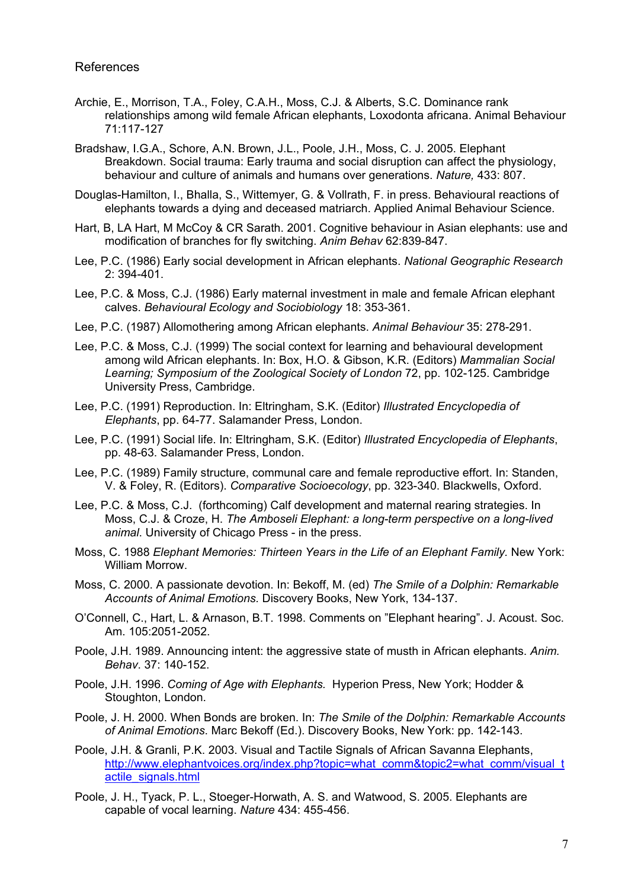- Archie, E., Morrison, T.A., Foley, C.A.H., Moss, C.J. & Alberts, S.C. Dominance rank relationships among wild female African elephants, Loxodonta africana. Animal Behaviour 71:117-127
- Bradshaw, I.G.A., Schore, A.N. Brown, J.L., Poole, J.H., Moss, C. J. 2005. Elephant Breakdown. Social trauma: Early trauma and social disruption can affect the physiology, behaviour and culture of animals and humans over generations. *Nature,* 433: 807.
- Douglas-Hamilton, I., Bhalla, S., Wittemyer, G. & Vollrath, F. in press. Behavioural reactions of elephants towards a dying and deceased matriarch. Applied Animal Behaviour Science.
- Hart, B, LA Hart, M McCoy & CR Sarath. 2001. Cognitive behaviour in Asian elephants: use and modification of branches for fly switching. *Anim Behav* 62:839-847.
- Lee, P.C. (1986) Early social development in African elephants. *National Geographic Research* 2: 394-401.
- Lee, P.C. & Moss, C.J. (1986) Early maternal investment in male and female African elephant calves. *Behavioural Ecology and Sociobiology* 18: 353-361.
- Lee, P.C. (1987) Allomothering among African elephants. *Animal Behaviour* 35: 278-291.
- Lee, P.C. & Moss, C.J. (1999) The social context for learning and behavioural development among wild African elephants. In: Box, H.O. & Gibson, K.R. (Editors) *Mammalian Social Learning; Symposium of the Zoological Society of London* 72, pp. 102-125. Cambridge University Press, Cambridge.
- Lee, P.C. (1991) Reproduction. In: Eltringham, S.K. (Editor) *Illustrated Encyclopedia of Elephants*, pp. 64-77. Salamander Press, London.
- Lee, P.C. (1991) Social life. In: Eltringham, S.K. (Editor) *Illustrated Encyclopedia of Elephants*, pp. 48-63. Salamander Press, London.
- Lee, P.C. (1989) Family structure, communal care and female reproductive effort. In: Standen, V. & Foley, R. (Editors). *Comparative Socioecology*, pp. 323-340. Blackwells, Oxford.
- Lee, P.C. & Moss, C.J. (forthcoming) Calf development and maternal rearing strategies. In Moss, C.J. & Croze, H. *The Amboseli Elephant: a long-term perspective on a long-lived animal*. University of Chicago Press - in the press.
- Moss, C. 1988 *Elephant Memories: Thirteen Years in the Life of an Elephant Family.* New York: William Morrow.
- Moss, C. 2000. A passionate devotion. In: Bekoff, M. (ed) *The Smile of a Dolphin: Remarkable Accounts of Animal Emotions.* Discovery Books, New York, 134-137.
- O'Connell, C., Hart, L. & Arnason, B.T. 1998. Comments on "Elephant hearing". J. Acoust. Soc. Am. 105:2051-2052.
- Poole, J.H. 1989. Announcing intent: the aggressive state of musth in African elephants. *Anim. Behav*. 37: 140-152.
- Poole, J.H. 1996. *Coming of Age with Elephants.* Hyperion Press, New York; Hodder & Stoughton, London.
- Poole, J. H. 2000. When Bonds are broken. In: *The Smile of the Dolphin: Remarkable Accounts of Animal Emotions*. Marc Bekoff (Ed.). Discovery Books, New York: pp. 142-143.
- Poole, J.H. & Granli, P.K. 2003. Visual and Tactile Signals of African Savanna Elephants, [http://www.elephantvoices.org/index.php?topic=what\\_comm&topic2=what\\_comm/visual\\_t](http://www.elephantvoices.org/index.php?topic=what_comm&topic2=what_comm/visual_tactile_signals.html) [actile\\_signals.html](http://www.elephantvoices.org/index.php?topic=what_comm&topic2=what_comm/visual_tactile_signals.html)
- Poole, J. H., Tyack, P. L., Stoeger-Horwath, A. S. and Watwood, S. 2005. Elephants are capable of vocal learning. *Nature* 434: 455-456.